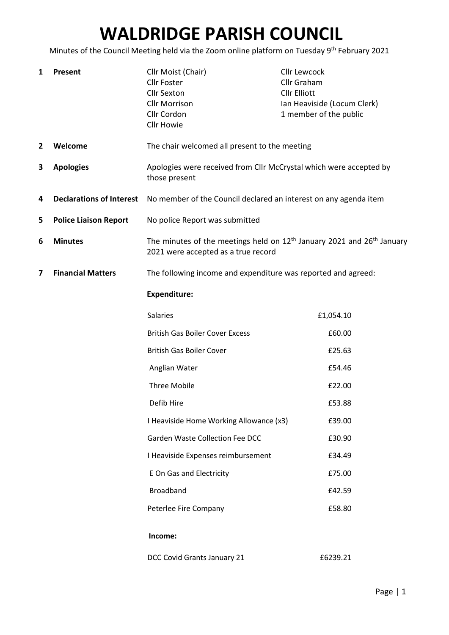# WALDRIDGE PARISH COUNCIL

Minutes of the Council Meeting held via the Zoom online platform on Tuesday 9<sup>th</sup> February 2021

| $\mathbf{1}$                  | Present                         | Cllr Moist (Chair)<br><b>Cllr Foster</b><br><b>Cllr Sexton</b><br><b>Cllr Morrison</b><br>Cllr Cordon<br><b>Cllr Howie</b> | <b>Cllr Lewcock</b><br>Cllr Graham<br><b>Cllr Elliott</b><br>Ian Heaviside (Locum Clerk)<br>1 member of the public |
|-------------------------------|---------------------------------|----------------------------------------------------------------------------------------------------------------------------|--------------------------------------------------------------------------------------------------------------------|
| $\mathbf{2}$                  | Welcome                         | The chair welcomed all present to the meeting                                                                              |                                                                                                                    |
| 3                             | <b>Apologies</b>                | Apologies were received from Cllr McCrystal which were accepted by<br>those present                                        |                                                                                                                    |
| 4                             | <b>Declarations of Interest</b> | No member of the Council declared an interest on any agenda item                                                           |                                                                                                                    |
| 5                             | <b>Police Liaison Report</b>    | No police Report was submitted                                                                                             |                                                                                                                    |
| 6                             | <b>Minutes</b>                  | The minutes of the meetings held on $12th$ January 2021 and $26th$ January<br>2021 were accepted as a true record          |                                                                                                                    |
| <b>Financial Matters</b><br>7 |                                 | The following income and expenditure was reported and agreed:                                                              |                                                                                                                    |
|                               |                                 | <b>Expenditure:</b>                                                                                                        |                                                                                                                    |
|                               |                                 | Salaries                                                                                                                   | £1,054.10                                                                                                          |
|                               |                                 | <b>British Gas Boiler Cover Excess</b>                                                                                     | £60.00                                                                                                             |
|                               |                                 | <b>British Gas Boiler Cover</b>                                                                                            | £25.63                                                                                                             |
|                               |                                 | Anglian Water                                                                                                              | £54.46                                                                                                             |
|                               |                                 | <b>Three Mobile</b>                                                                                                        | £22.00                                                                                                             |
|                               |                                 | Defib Hire                                                                                                                 | £53.88                                                                                                             |
|                               |                                 | I Heaviside Home Working Allowance (x3)                                                                                    | £39.00                                                                                                             |
|                               |                                 | <b>Garden Waste Collection Fee DCC</b>                                                                                     | £30.90                                                                                                             |
|                               |                                 | I Heaviside Expenses reimbursement                                                                                         | £34.49                                                                                                             |
|                               |                                 | <b>E On Gas and Electricity</b>                                                                                            | £75.00                                                                                                             |
|                               |                                 | <b>Broadband</b>                                                                                                           | £42.59                                                                                                             |
|                               |                                 | Peterlee Fire Company                                                                                                      | £58.80                                                                                                             |
|                               |                                 | Income:                                                                                                                    |                                                                                                                    |
|                               |                                 | DCC Covid Grants January 21                                                                                                | £6239.21                                                                                                           |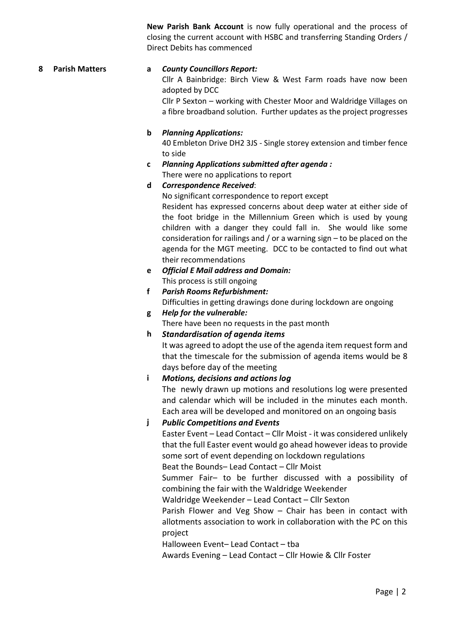New Parish Bank Account is now fully operational and the process of closing the current account with HSBC and transferring Standing Orders / Direct Debits has commenced

#### 8 Parish Matters a County Councillors Report:

Cllr A Bainbridge: Birch View & West Farm roads have now been adopted by DCC

Cllr P Sexton – working with Chester Moor and Waldridge Villages on a fibre broadband solution. Further updates as the project progresses

#### b Planning Applications:

40 Embleton Drive DH2 3JS - Single storey extension and timber fence to side

c Planning Applications submitted after agenda : There were no applications to report

#### d Correspondence Received:

No significant correspondence to report except Resident has expressed concerns about deep water at either side of the foot bridge in the Millennium Green which is used by young children with a danger they could fall in. She would like some consideration for railings and / or a warning sign – to be placed on the agenda for the MGT meeting. DCC to be contacted to find out what their recommendations

- e Official E Mail address and Domain: This process is still ongoing
- f Parish Rooms Refurbishment: Difficulties in getting drawings done during lockdown are ongoing
- g Help for the vulnerable:

There have been no requests in the past month

h Standardisation of agenda items

It was agreed to adopt the use of the agenda item request form and that the timescale for the submission of agenda items would be 8 days before day of the meeting

i Motions, decisions and actions log

The newly drawn up motions and resolutions log were presented and calendar which will be included in the minutes each month. Each area will be developed and monitored on an ongoing basis

#### j Public Competitions and Events

Easter Event – Lead Contact – Cllr Moist - it was considered unlikely that the full Easter event would go ahead however ideas to provide some sort of event depending on lockdown regulations

Beat the Bounds– Lead Contact – Cllr Moist

Summer Fair– to be further discussed with a possibility of combining the fair with the Waldridge Weekender

Waldridge Weekender – Lead Contact – Cllr Sexton

Parish Flower and Veg Show – Chair has been in contact with allotments association to work in collaboration with the PC on this project

Halloween Event– Lead Contact – tba

Awards Evening – Lead Contact – Cllr Howie & Cllr Foster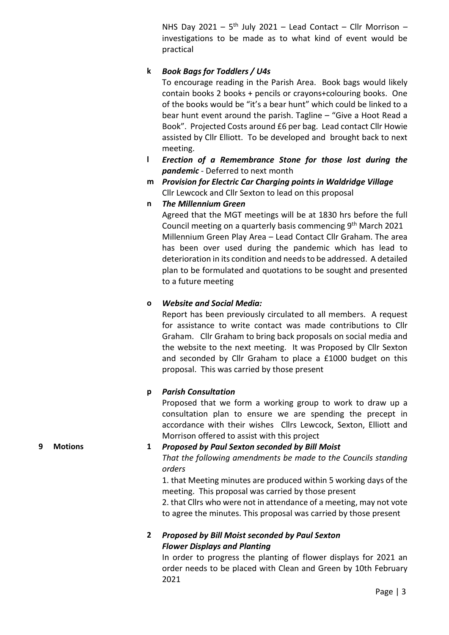NHS Day 2021 –  $5<sup>th</sup>$  July 2021 – Lead Contact – Cllr Morrison – investigations to be made as to what kind of event would be practical

#### k Book Bags for Toddlers / U4s

To encourage reading in the Parish Area. Book bags would likely contain books 2 books + pencils or crayons+colouring books. One of the books would be "it's a bear hunt" which could be linked to a bear hunt event around the parish. Tagline – "Give a Hoot Read a Book". Projected Costs around £6 per bag. Lead contact Cllr Howie assisted by Cllr Elliott. To be developed and brought back to next meeting.

- l Erection of a Remembrance Stone for those lost during the pandemic - Deferred to next month
- m Provision for Electric Car Charging points in Waldridge Village Cllr Lewcock and Cllr Sexton to lead on this proposal
- n The Millennium Green

Agreed that the MGT meetings will be at 1830 hrs before the full Council meeting on a quarterly basis commencing 9<sup>th</sup> March 2021 Millennium Green Play Area – Lead Contact Cllr Graham. The area has been over used during the pandemic which has lead to deterioration in its condition and needs to be addressed. A detailed plan to be formulated and quotations to be sought and presented to a future meeting

## o Website and Social Media:

Report has been previously circulated to all members. A request for assistance to write contact was made contributions to Cllr Graham. Cllr Graham to bring back proposals on social media and the website to the next meeting. It was Proposed by Cllr Sexton and seconded by Cllr Graham to place a £1000 budget on this proposal. This was carried by those present

# p Parish Consultation

Proposed that we form a working group to work to draw up a consultation plan to ensure we are spending the precept in accordance with their wishes Cllrs Lewcock, Sexton, Elliott and Morrison offered to assist with this project

#### 9 Motions 1 Proposed by Paul Sexton seconded by Bill Moist

That the following amendments be made to the Councils standing orders

1. that Meeting minutes are produced within 5 working days of the meeting. This proposal was carried by those present

2. that Cllrs who were not in attendance of a meeting, may not vote to agree the minutes. This proposal was carried by those present

## 2 Proposed by Bill Moist seconded by Paul Sexton Flower Displays and Planting

In order to progress the planting of flower displays for 2021 an order needs to be placed with Clean and Green by 10th February 2021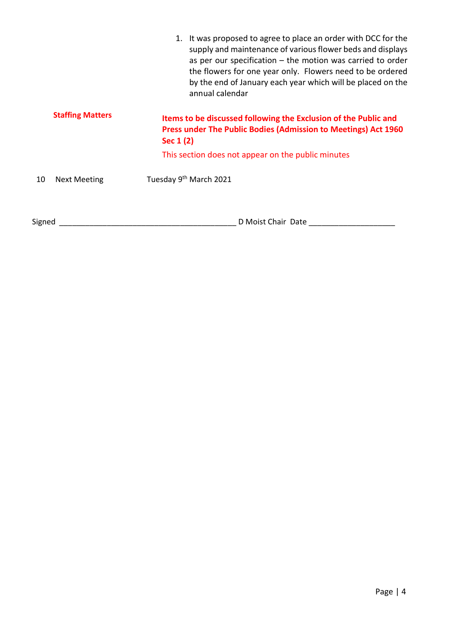|        |                                                                                                                                                                                  | 1. It was proposed to agree to place an order with DCC for the<br>supply and maintenance of various flower beds and displays<br>as per our specification $-$ the motion was carried to order<br>the flowers for one year only. Flowers need to be ordered<br>by the end of January each year which will be placed on the<br>annual calendar |
|--------|----------------------------------------------------------------------------------------------------------------------------------------------------------------------------------|---------------------------------------------------------------------------------------------------------------------------------------------------------------------------------------------------------------------------------------------------------------------------------------------------------------------------------------------|
|        | <b>Staffing Matters</b><br>Items to be discussed following the Exclusion of the Public and<br><b>Press under The Public Bodies (Admission to Meetings) Act 1960</b><br>Sec 1 (2) |                                                                                                                                                                                                                                                                                                                                             |
|        |                                                                                                                                                                                  | This section does not appear on the public minutes                                                                                                                                                                                                                                                                                          |
| 10     | <b>Next Meeting</b>                                                                                                                                                              | Tuesday 9 <sup>th</sup> March 2021                                                                                                                                                                                                                                                                                                          |
| Signed |                                                                                                                                                                                  | D Moist Chair Date                                                                                                                                                                                                                                                                                                                          |